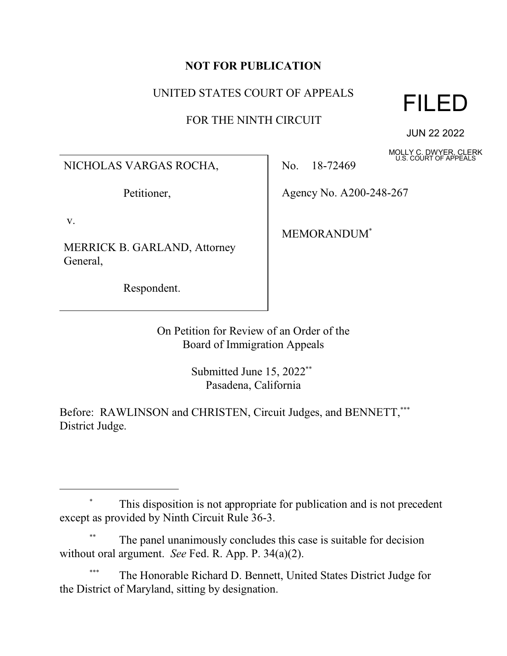## **NOT FOR PUBLICATION**

## UNITED STATES COURT OF APPEALS

FOR THE NINTH CIRCUIT



JUN 22 2022

MOLLY C. DWYER, CLERK U.S. COURT OF APPEALS

NICHOLAS VARGAS ROCHA,

Petitioner,

v.

MERRICK B. GARLAND, Attorney General,

Respondent.

No. 18-72469

Agency No. A200-248-267

MEMORANDUM\*

On Petition for Review of an Order of the Board of Immigration Appeals

> Submitted June 15, 2022<sup>\*\*</sup> Pasadena, California

Before: RAWLINSON and CHRISTEN, Circuit Judges, and BENNETT,\*\*\* District Judge.

The panel unanimously concludes this case is suitable for decision without oral argument. *See* Fed. R. App. P. 34(a)(2).

The Honorable Richard D. Bennett, United States District Judge for the District of Maryland, sitting by designation.

 <sup>\*</sup> This disposition is not appropriate for publication and is not precedent except as provided by Ninth Circuit Rule 36-3.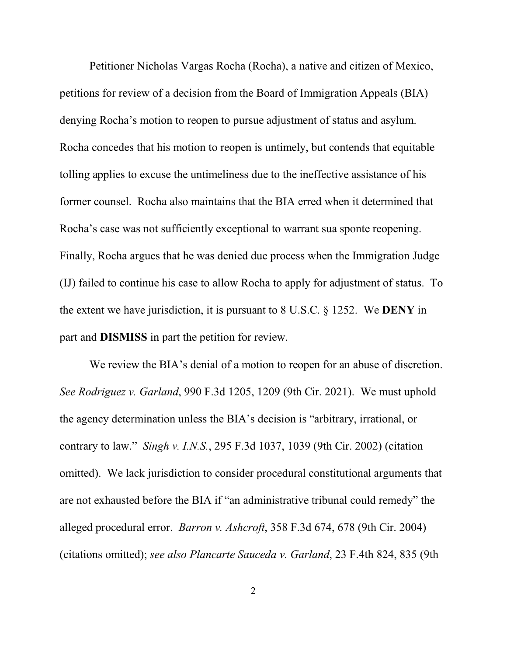Petitioner Nicholas Vargas Rocha (Rocha), a native and citizen of Mexico, petitions for review of a decision from the Board of Immigration Appeals (BIA) denying Rocha's motion to reopen to pursue adjustment of status and asylum. Rocha concedes that his motion to reopen is untimely, but contends that equitable tolling applies to excuse the untimeliness due to the ineffective assistance of his former counsel. Rocha also maintains that the BIA erred when it determined that Rocha's case was not sufficiently exceptional to warrant sua sponte reopening. Finally, Rocha argues that he was denied due process when the Immigration Judge (IJ) failed to continue his case to allow Rocha to apply for adjustment of status. To the extent we have jurisdiction, it is pursuant to 8 U.S.C. § 1252. We **DENY** in part and **DISMISS** in part the petition for review.

We review the BIA's denial of a motion to reopen for an abuse of discretion. *See Rodriguez v. Garland*, 990 F.3d 1205, 1209 (9th Cir. 2021). We must uphold the agency determination unless the BIA's decision is "arbitrary, irrational, or contrary to law." *Singh v. I.N.S.*, 295 F.3d 1037, 1039 (9th Cir. 2002) (citation omitted). We lack jurisdiction to consider procedural constitutional arguments that are not exhausted before the BIA if "an administrative tribunal could remedy" the alleged procedural error. *Barron v. Ashcroft*, 358 F.3d 674, 678 (9th Cir. 2004) (citations omitted); *see also Plancarte Sauceda v. Garland*, 23 F.4th 824, 835 (9th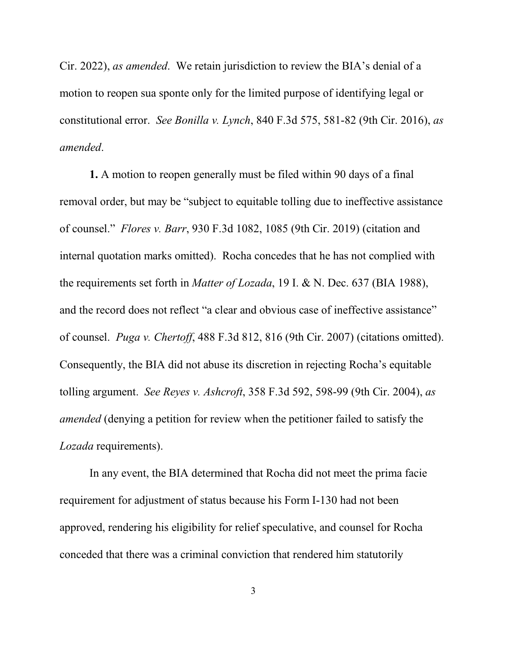Cir. 2022), *as amended*. We retain jurisdiction to review the BIA's denial of a motion to reopen sua sponte only for the limited purpose of identifying legal or constitutional error. *See Bonilla v. Lynch*, 840 F.3d 575, 581-82 (9th Cir. 2016), *as amended*.

**1.** A motion to reopen generally must be filed within 90 days of a final removal order, but may be "subject to equitable tolling due to ineffective assistance of counsel." *Flores v. Barr*, 930 F.3d 1082, 1085 (9th Cir. 2019) (citation and internal quotation marks omitted). Rocha concedes that he has not complied with the requirements set forth in *Matter of Lozada*, 19 I. & N. Dec. 637 (BIA 1988), and the record does not reflect "a clear and obvious case of ineffective assistance" of counsel. *Puga v. Chertoff*, 488 F.3d 812, 816 (9th Cir. 2007) (citations omitted). Consequently, the BIA did not abuse its discretion in rejecting Rocha's equitable tolling argument. *See Reyes v. Ashcroft*, 358 F.3d 592, 598-99 (9th Cir. 2004), *as amended* (denying a petition for review when the petitioner failed to satisfy the *Lozada* requirements).

In any event, the BIA determined that Rocha did not meet the prima facie requirement for adjustment of status because his Form I-130 had not been approved, rendering his eligibility for relief speculative, and counsel for Rocha conceded that there was a criminal conviction that rendered him statutorily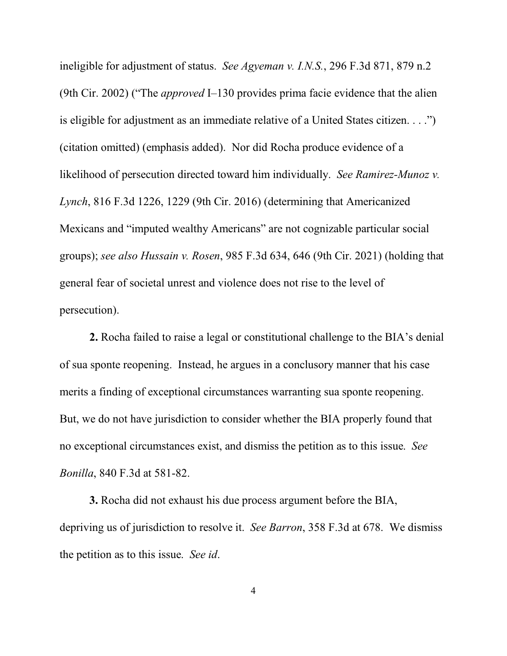ineligible for adjustment of status. *See Agyeman v. I.N.S.*, 296 F.3d 871, 879 n.2 (9th Cir. 2002) ("The *approved* I–130 provides prima facie evidence that the alien is eligible for adjustment as an immediate relative of a United States citizen. . . .") (citation omitted) (emphasis added). Nor did Rocha produce evidence of a likelihood of persecution directed toward him individually. *See Ramirez-Munoz v. Lynch*, 816 F.3d 1226, 1229 (9th Cir. 2016) (determining that Americanized Mexicans and "imputed wealthy Americans" are not cognizable particular social groups); *see also Hussain v. Rosen*, 985 F.3d 634, 646 (9th Cir. 2021) (holding that general fear of societal unrest and violence does not rise to the level of persecution).

**2.** Rocha failed to raise a legal or constitutional challenge to the BIA's denial of sua sponte reopening. Instead, he argues in a conclusory manner that his case merits a finding of exceptional circumstances warranting sua sponte reopening. But, we do not have jurisdiction to consider whether the BIA properly found that no exceptional circumstances exist, and dismiss the petition as to this issue. *See Bonilla*, 840 F.3d at 581-82.

**3.** Rocha did not exhaust his due process argument before the BIA, depriving us of jurisdiction to resolve it. *See Barron*, 358 F.3d at 678. We dismiss the petition as to this issue. *See id*.